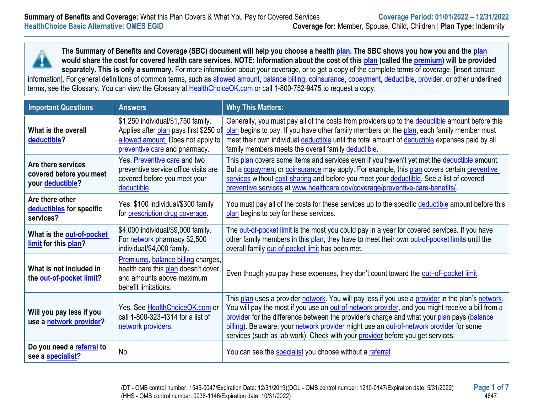

| <b>Important Questions</b>                                        | <b>Answers</b>                                                                                                                                     | <b>Why This Matters:</b>                                                                                                                                                                                                                                                                                                                                                                                                                                                         |
|-------------------------------------------------------------------|----------------------------------------------------------------------------------------------------------------------------------------------------|----------------------------------------------------------------------------------------------------------------------------------------------------------------------------------------------------------------------------------------------------------------------------------------------------------------------------------------------------------------------------------------------------------------------------------------------------------------------------------|
| What is the overall<br>deductible?                                | \$1,250 individual/\$1,750 family.<br>Applies after plan pays first \$250 of<br>allowed amount. Does not apply to<br>preventive care and pharmacy. | Generally, you must pay all of the costs from providers up to the deductible amount before this<br>plan begins to pay. If you have other family members on the plan, each family member must<br>meet their own individual deductible until the total amount of deductible expenses paid by all<br>family members meets the overall family deductible.                                                                                                                            |
| Are there services<br>covered before you meet<br>your deductible? | Yes. Preventive care and two<br>preventive service office visits are<br>covered before you meet your<br>deductible.                                | This plan covers some items and services even if you haven't yet met the deductible amount.<br>But a copayment or coinsurance may apply. For example, this plan covers certain preventive<br>services without cost-sharing and before you meet your deductible. See a list of covered<br>preventive services at www.healthcare.gov/coverage/preventive-care-benefits/.                                                                                                           |
| Are there other<br>deductibles for specific<br>services?          | Yes. \$100 individual/\$300 family<br>for prescription drug coverage.                                                                              | You must pay all of the costs for these services up to the specific deductible amount before this<br>plan begins to pay for these services.                                                                                                                                                                                                                                                                                                                                      |
| What is the out-of-pocket<br>limit for this plan?                 | \$4,000 individual/\$9,000 family.<br>For network pharmacy \$2,500<br>individual/\$4,000 family.                                                   | The out-of-pocket limit is the most you could pay in a year for covered services. If you have<br>other family members in this plan, they have to meet their own out-of-pocket limits until the<br>overall family out-of-pocket limit has been met.                                                                                                                                                                                                                               |
| What is not included in<br>the out-of-pocket limit?               | Premiums, balance billing charges,<br>health care this plan doesn't cover,<br>and amounts above maximum<br>benefit limitations.                    | Even though you pay these expenses, they don't count toward the out-of-pocket limit.                                                                                                                                                                                                                                                                                                                                                                                             |
| Will you pay less if you<br>use a network provider?               | Yes. See HealthChoiceOK.com or<br>call 1-800-323-4314 for a list of<br>network providers                                                           | This plan uses a provider network. You will pay less if you use a provider in the plan's network.<br>You will pay the most if you use an out-of-network provider, and you might receive a bill from a<br>provider for the difference between the provider's charge and what your plan pays (balance<br>billing). Be aware, your network provider might use an out-of-network provider for some<br>services (such as lab work). Check with your provider before you get services. |
| Do you need a referral to<br>see a specialist?                    | No.                                                                                                                                                | You can see the specialist you choose without a referral.                                                                                                                                                                                                                                                                                                                                                                                                                        |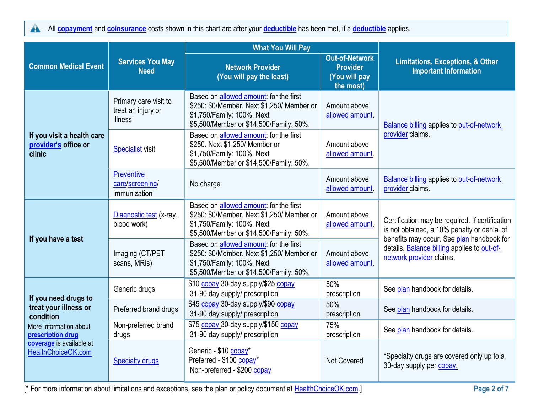All **[copayment](https://www.healthcare.gov/sbc-glossary/#copayment)** and **[coinsurance](https://www.healthcare.gov/sbc-glossary/#coinsurance)** costs shown in this chart are after your **[deductible](https://www.healthcare.gov/sbc-glossary/#deductible)** has been met, if a **[deductible](https://www.healthcare.gov/sbc-glossary/#deductible)** applies.  $\blacktriangle$ 

|                                                              | <b>Services You May</b><br><b>Need</b>                 | <b>What You Will Pay</b>                                                                                                                                      |                                                                        |                                                                                                                                                                                                                        |  |
|--------------------------------------------------------------|--------------------------------------------------------|---------------------------------------------------------------------------------------------------------------------------------------------------------------|------------------------------------------------------------------------|------------------------------------------------------------------------------------------------------------------------------------------------------------------------------------------------------------------------|--|
| <b>Common Medical Event</b>                                  |                                                        | <b>Network Provider</b><br>(You will pay the least)                                                                                                           | <b>Out-of-Network</b><br><b>Provider</b><br>(You will pay<br>the most) | <b>Limitations, Exceptions, &amp; Other</b><br><b>Important Information</b>                                                                                                                                            |  |
|                                                              | Primary care visit to<br>treat an injury or<br>illness | Based on allowed amount: for the first<br>\$250: \$0/Member. Next \$1,250/ Member or<br>\$1,750/Family: 100%. Next<br>\$5,500/Member or \$14,500/Family: 50%. | Amount above<br>allowed amount.                                        | Balance billing applies to out-of-network                                                                                                                                                                              |  |
| If you visit a health care<br>provider's office or<br>clinic | <b>Specialist visit</b>                                | Based on allowed amount: for the first<br>\$250. Next \$1,250/ Member or<br>\$1,750/Family: 100%. Next<br>\$5,500/Member or \$14,500/Family: 50%.             | Amount above<br>allowed amount.                                        | provider claims.                                                                                                                                                                                                       |  |
|                                                              | <b>Preventive</b><br>care/screening/<br>immunization   | No charge                                                                                                                                                     | Amount above<br>allowed amount.                                        | <b>Balance billing applies to out-of-network</b><br>provider claims.                                                                                                                                                   |  |
|                                                              | Diagnostic test (x-ray,<br>blood work)                 | Based on allowed amount: for the first<br>\$250: \$0/Member. Next \$1,250/ Member or<br>\$1,750/Family: 100%. Next<br>\$5,500/Member or \$14,500/Family: 50%. | Amount above<br>allowed amount.                                        | Certification may be required. If certification<br>is not obtained, a 10% penalty or denial of<br>benefits may occur. See plan handbook for<br>details. Balance billing applies to out-of-<br>network provider claims. |  |
| If you have a test                                           | Imaging (CT/PET<br>scans, MRIs)                        | Based on allowed amount: for the first<br>\$250: \$0/Member. Next \$1,250/ Member or<br>\$1,750/Family: 100%. Next<br>\$5,500/Member or \$14,500/Family: 50%. | Amount above<br>allowed amount.                                        |                                                                                                                                                                                                                        |  |
| If you need drugs to                                         | Generic drugs                                          | \$10 copay 30-day supply/\$25 copay<br>31-90 day supply/ prescription                                                                                         | 50%<br>prescription                                                    | See plan handbook for details.                                                                                                                                                                                         |  |
| treat your illness or<br>condition                           | Preferred brand drugs                                  | \$45 copay 30-day supply/\$90 copay<br>31-90 day supply/ prescription                                                                                         | 50%<br>prescription                                                    | See plan handbook for details.                                                                                                                                                                                         |  |
| More information about<br>prescription drug                  | Non-preferred brand<br>drugs                           | \$75 copay 30-day supply/\$150 copay<br>31-90 day supply/ prescription                                                                                        | 75%<br>prescription                                                    | See plan handbook for details.                                                                                                                                                                                         |  |
| coverage is available at<br>HealthChoiceOK.com               | <b>Specialty drugs</b>                                 | Generic - \$10 copay*<br>Preferred - \$100 copay*<br>Non-preferred - \$200 copay                                                                              | <b>Not Covered</b>                                                     | *Specialty drugs are covered only up to a<br>30-day supply per copay.                                                                                                                                                  |  |

[\* For more information about limitations and exceptions, see the plan or policy document at [HealthChoiceOK.com.](https://oklahoma.gov/healthchoice.html)] **Page 2 of 7**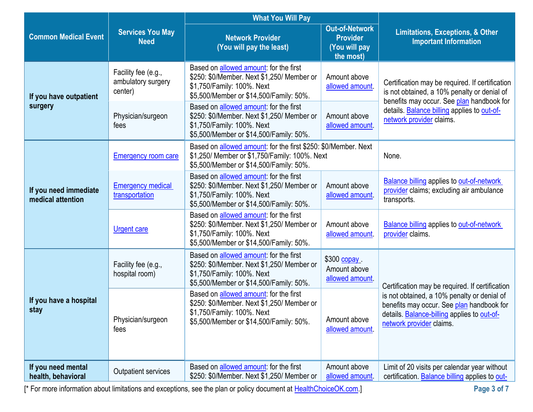|                                            |                                                      | <b>What You Will Pay</b>                                                                                                                                              |                                                                        |                                                                                                                                                                     |  |
|--------------------------------------------|------------------------------------------------------|-----------------------------------------------------------------------------------------------------------------------------------------------------------------------|------------------------------------------------------------------------|---------------------------------------------------------------------------------------------------------------------------------------------------------------------|--|
| <b>Common Medical Event</b>                | <b>Services You May</b><br><b>Need</b>               | <b>Network Provider</b><br>(You will pay the least)                                                                                                                   | <b>Out-of-Network</b><br><b>Provider</b><br>(You will pay<br>the most) | <b>Limitations, Exceptions, &amp; Other</b><br><b>Important Information</b>                                                                                         |  |
| If you have outpatient                     | Facility fee (e.g.,<br>ambulatory surgery<br>center) | Based on allowed amount: for the first<br>\$250: \$0/Member. Next \$1,250/ Member or<br>\$1,750/Family: 100%. Next<br>\$5,500/Member or \$14,500/Family: 50%.         | Amount above<br>allowed amount                                         | Certification may be required. If certification<br>is not obtained, a 10% penalty or denial of                                                                      |  |
| surgery                                    | Physician/surgeon<br>fees                            | Based on <b>allowed amount</b> : for the first<br>\$250: \$0/Member. Next \$1,250/ Member or<br>\$1,750/Family: 100%. Next<br>\$5,500/Member or \$14,500/Family: 50%. | Amount above<br>allowed amount                                         | benefits may occur. See plan handbook for<br>details. Balance billing applies to out-of-<br>network provider claims.                                                |  |
|                                            | <b>Emergency room care</b>                           | Based on allowed amount: for the first \$250: \$0/Member. Next<br>\$1,250/ Member or \$1,750/Family: 100%. Next<br>\$5,500/Member or \$14,500/Family: 50%.            |                                                                        | None.                                                                                                                                                               |  |
| If you need immediate<br>medical attention | <b>Emergency medical</b><br>transportation           | Based on allowed amount: for the first<br>\$250: \$0/Member. Next \$1,250/ Member or<br>\$1,750/Family: 100%. Next<br>\$5,500/Member or \$14,500/Family: 50%.         | Amount above<br>allowed amount.                                        | <b>Balance billing applies to out-of-network</b><br>provider claims; excluding air ambulance<br>transports.                                                         |  |
|                                            | <b>Urgent care</b>                                   | Based on allowed amount: for the first<br>\$250: \$0/Member. Next \$1,250/ Member or<br>\$1,750/Family: 100%. Next<br>\$5,500/Member or \$14,500/Family: 50%.         | Amount above<br>allowed amount.                                        | <b>Balance billing applies to out-of-network</b><br>provider claims.                                                                                                |  |
|                                            | Facility fee (e.g.,<br>hospital room)                | Based on allowed amount: for the first<br>\$250: \$0/Member. Next \$1,250/ Member or<br>\$1,750/Family: 100%. Next<br>\$5,500/Member or \$14,500/Family: 50%.         | \$300 copay.<br>Amount above<br>allowed amount.                        | Certification may be required. If certification                                                                                                                     |  |
| If you have a hospital<br>stay             | Physician/surgeon<br>fees                            | Based on allowed amount: for the first<br>\$250: \$0/Member. Next \$1,250/ Member or<br>\$1,750/Family: 100%. Next<br>\$5,500/Member or \$14,500/Family: 50%.         | Amount above<br>allowed amount.                                        | is not obtained, a 10% penalty or denial of<br>benefits may occur. See plan handbook for<br>details. Balance-billing applies to out-of-<br>network provider claims. |  |
| If you need mental<br>health, behavioral   | Outpatient services                                  | Based on <b>allowed</b> amount: for the first<br>\$250: \$0/Member. Next \$1,250/ Member or                                                                           | Amount above<br>allowed amount.                                        | Limit of 20 visits per calendar year without<br>certification. Balance billing applies to out-                                                                      |  |

[\* For more information about limitations and exceptions, see the plan or policy document at [HealthChoiceOK.com.](https://oklahoma.gov/healthchoice.html)] **Page 3 of 7**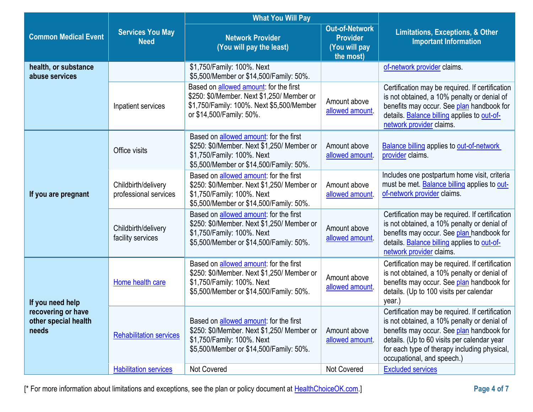|                                                     |                                              | <b>What You Will Pay</b><br><b>Out-of-Network</b><br><b>Network Provider</b><br><b>Provider</b><br>(You will pay the least)<br>(You will pay<br>the most)             |                                 | <b>Limitations, Exceptions, &amp; Other</b><br><b>Important Information</b>                                                                                                                                                                                              |  |
|-----------------------------------------------------|----------------------------------------------|-----------------------------------------------------------------------------------------------------------------------------------------------------------------------|---------------------------------|--------------------------------------------------------------------------------------------------------------------------------------------------------------------------------------------------------------------------------------------------------------------------|--|
| <b>Common Medical Event</b>                         | <b>Services You May</b><br><b>Need</b>       |                                                                                                                                                                       |                                 |                                                                                                                                                                                                                                                                          |  |
| health, or substance<br>abuse services              |                                              | \$1,750/Family: 100%. Next<br>\$5,500/Member or \$14,500/Family: 50%.                                                                                                 |                                 | of-network provider claims.                                                                                                                                                                                                                                              |  |
|                                                     | Inpatient services                           | Based on <b>allowed amount</b> : for the first<br>\$250: \$0/Member. Next \$1,250/ Member or<br>\$1,750/Family: 100%. Next \$5,500/Member<br>or \$14,500/Family: 50%. | Amount above<br>allowed amount  | Certification may be required. If certification<br>is not obtained, a 10% penalty or denial of<br>benefits may occur. See plan handbook for<br>details. Balance billing applies to out-of-<br>network provider claims.                                                   |  |
|                                                     | Office visits                                | Based on allowed amount: for the first<br>\$250: \$0/Member. Next \$1,250/ Member or<br>\$1,750/Family: 100%. Next<br>\$5,500/Member or \$14,500/Family: 50%.         | Amount above<br>allowed amount. | <b>Balance billing applies to out-of-network</b><br>provider claims.                                                                                                                                                                                                     |  |
| If you are pregnant                                 | Childbirth/delivery<br>professional services | Based on allowed amount: for the first<br>\$250: \$0/Member. Next \$1,250/ Member or<br>\$1,750/Family: 100%. Next<br>\$5,500/Member or \$14,500/Family: 50%.         | Amount above<br>allowed amount. | Includes one postpartum home visit, criteria<br>must be met. Balance billing applies to out-<br>of-network provider claims.                                                                                                                                              |  |
|                                                     | Childbirth/delivery<br>facility services     | Based on allowed amount: for the first<br>\$250: \$0/Member. Next \$1,250/ Member or<br>\$1,750/Family: 100%. Next<br>\$5,500/Member or \$14,500/Family: 50%.         | Amount above<br>allowed amount  | Certification may be required. If certification<br>is not obtained, a 10% penalty or denial of<br>benefits may occur. See plan handbook for<br>details. Balance billing applies to out-of-<br>network provider claims.                                                   |  |
| If you need help                                    | Home health care                             | Based on <b>allowed amount</b> : for the first<br>\$250: \$0/Member. Next \$1,250/ Member or<br>\$1,750/Family: 100%. Next<br>\$5,500/Member or \$14,500/Family: 50%. | Amount above<br>allowed amount  | Certification may be required. If certification<br>is not obtained, a 10% penalty or denial of<br>benefits may occur. See plan handbook for<br>details. (Up to 100 visits per calendar<br>year.)                                                                         |  |
| recovering or have<br>other special health<br>needs | <b>Rehabilitation services</b>               | Based on allowed amount: for the first<br>\$250: \$0/Member. Next \$1,250/ Member or<br>\$1,750/Family: 100%. Next<br>\$5,500/Member or \$14,500/Family: 50%.         | Amount above<br>allowed amount. | Certification may be required. If certification<br>is not obtained, a 10% penalty or denial of<br>benefits may occur. See plan handbook for<br>details. (Up to 60 visits per calendar year<br>for each type of therapy including physical,<br>occupational, and speech.) |  |
|                                                     | <b>Habilitation services</b>                 | Not Covered                                                                                                                                                           | Not Covered                     | <b>Excluded services</b>                                                                                                                                                                                                                                                 |  |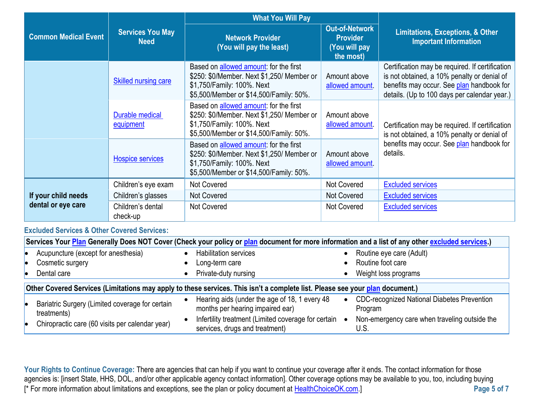|                             | <b>Services You May</b><br><b>Need</b> | <b>What You Will Pay</b>                                                                                                                                      |                                                                        |                                                                                                                                                                                             |
|-----------------------------|----------------------------------------|---------------------------------------------------------------------------------------------------------------------------------------------------------------|------------------------------------------------------------------------|---------------------------------------------------------------------------------------------------------------------------------------------------------------------------------------------|
| <b>Common Medical Event</b> |                                        | <b>Network Provider</b><br>(You will pay the least)                                                                                                           | <b>Out-of-Network</b><br><b>Provider</b><br>(You will pay<br>the most) | <b>Limitations, Exceptions, &amp; Other</b><br><b>Important Information</b>                                                                                                                 |
|                             | <b>Skilled nursing care</b>            | Based on allowed amount: for the first<br>\$250: \$0/Member. Next \$1,250/ Member or<br>\$1,750/Family: 100%. Next<br>\$5,500/Member or \$14,500/Family: 50%. | Amount above<br>allowed amount.                                        | Certification may be required. If certification<br>is not obtained, a 10% penalty or denial of<br>benefits may occur. See plan handbook for<br>details. (Up to 100 days per calendar year.) |
|                             | Durable medical<br>equipment           | Based on allowed amount: for the first<br>\$250: \$0/Member. Next \$1,250/ Member or<br>\$1,750/Family: 100%. Next<br>\$5,500/Member or \$14,500/Family: 50%. | Amount above<br>allowed amount.                                        | Certification may be required. If certification<br>is not obtained, a 10% penalty or denial of                                                                                              |
|                             | Hospice services                       | Based on allowed amount: for the first<br>\$250: \$0/Member. Next \$1,250/ Member or<br>\$1,750/Family: 100%. Next<br>\$5,500/Member or \$14,500/Family: 50%. | Amount above<br>allowed amount.                                        | benefits may occur. See plan handbook for<br>details.                                                                                                                                       |
|                             | Children's eye exam                    | <b>Not Covered</b>                                                                                                                                            | <b>Not Covered</b>                                                     | <b>Excluded services</b>                                                                                                                                                                    |
| If your child needs         | Children's glasses                     | Not Covered                                                                                                                                                   | Not Covered                                                            | <b>Excluded services</b>                                                                                                                                                                    |
| dental or eye care          | Children's dental<br>check-up          | <b>Not Covered</b>                                                                                                                                            | <b>Not Covered</b>                                                     | <b>Excluded services</b>                                                                                                                                                                    |

## **Excluded Services & Other Covered Services:**

| Services Your Plan Generally Does NOT Cover (Check your policy or plan document for more information and a list of any other excluded services.) |  |                                                                                       |           |                                                               |  |
|--------------------------------------------------------------------------------------------------------------------------------------------------|--|---------------------------------------------------------------------------------------|-----------|---------------------------------------------------------------|--|
| Acupuncture (except for anesthesia)                                                                                                              |  | <b>Habilitation services</b>                                                          |           | Routine eye care (Adult)                                      |  |
| Cosmetic surgery                                                                                                                                 |  | Long-term care                                                                        |           | Routine foot care                                             |  |
| Dental care                                                                                                                                      |  | Private-duty nursing                                                                  |           | Weight loss programs                                          |  |
| Other Covered Services (Limitations may apply to these services. This isn't a complete list. Please see your plan document.)                     |  |                                                                                       |           |                                                               |  |
| Bariatric Surgery (Limited coverage for certain<br>treatments)                                                                                   |  | Hearing aids (under the age of 18, 1 every 48<br>months per hearing impaired ear)     | $\bullet$ | <b>CDC-recognized National Diabetes Prevention</b><br>Program |  |
| Chiropractic care (60 visits per calendar year)                                                                                                  |  | Infertility treatment (Limited coverage for certain<br>services, drugs and treatment) |           | Non-emergency care when traveling outside the<br>U.S.         |  |

[\* For more information about limitations and exceptions, see the plan or policy document at [HealthChoiceOK.com.](https://oklahoma.gov/healthchoice.html)] **Page 5 of 7** Your Rights to Continue Coverage: There are agencies that can help if you want to continue your coverage after it ends. The contact information for those agencies is: [insert State, HHS, DOL, and/or other applicable agency contact information]. Other coverage options may be available to you, too, including buying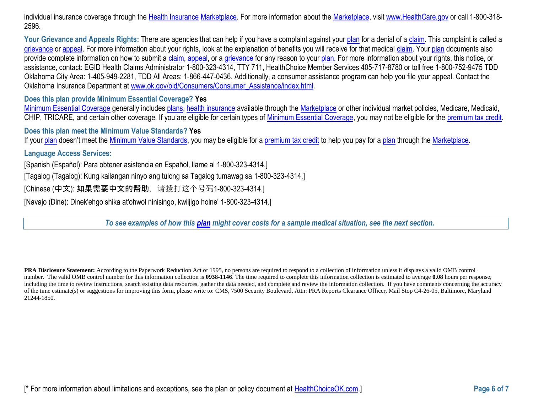individual insurance coverage through the [Health Insurance](https://www.healthcare.gov/sbc-glossary/#health-insurance) [Marketplace.](https://www.healthcare.gov/sbc-glossary/#marketplace) For more information about the [Marketplace,](https://www.healthcare.gov/sbc-glossary/#marketplace) visi[t www.HealthCare.gov](http://www.healthcare.gov/) or call 1-800-318-2596.

Your Grievance and Appeals Rights: There are agencies that can help if you have a complaint against your [plan](https://www.healthcare.gov/sbc-glossary/#plan) for a denial of [a claim.](https://www.healthcare.gov/sbc-glossary/#claim) This complaint is called a [grievance](https://www.healthcare.gov/sbc-glossary/#grievance) or [appeal.](https://www.healthcare.gov/sbc-glossary/#appeal) For more information about your rights, look at the explanation of benefits you will receive for that medical [claim.](https://www.healthcare.gov/sbc-glossary/#claim) You[r plan](https://www.healthcare.gov/sbc-glossary/#plan) documents also provide complete information on how to submit a [claim,](https://www.healthcare.gov/sbc-glossary/#claim) [appeal,](https://www.healthcare.gov/sbc-glossary/#appeal) or a [grievance](https://www.healthcare.gov/sbc-glossary/#grievance) for any reason to your [plan.](https://www.healthcare.gov/sbc-glossary/#plan) For more information about your rights, this notice, or assistance, contact: EGID Health Claims Administrator 1-800-323-4314, TTY 711, HealthChoice Member Services 405-717-8780 or toll free 1-800-752-9475 TDD Oklahoma City Area: 1-405-949-2281, TDD All Areas: 1-866-447-0436. Additionally, a consumer assistance program can help you file your appeal. Contact the Oklahoma Insurance Department at [www.ok.gov/oid/Consumers/Consumer\\_Assistance/index.html.](http://www.ok.gov/oid/Consumers/Consumer_Assistance/index.html)

**Does this plan provide Minimum Essential Coverage? Yes**

[Minimum Essential Coverage](https://www.healthcare.gov/sbc-glossary/#minimum-essential-coverage) generally includes [plans,](https://www.healthcare.gov/sbc-glossary/#plan) [health insurance](https://www.healthcare.gov/sbc-glossary/#health-insurance) available through the [Marketplace](https://www.healthcare.gov/sbc-glossary/#marketplace) or other individual market policies, Medicare, Medicaid, CHIP, TRICARE, and certain other coverage. If you are eligible for certain types of [Minimum Essential Coverage,](https://www.healthcare.gov/sbc-glossary/#minimum-essential-coverage) you may not be eligible for the [premium tax credit.](https://www.healthcare.gov/sbc-glossary/#premium-tax-credits)

**Does this plan meet the Minimum Value Standards? Yes**

If your [plan](https://www.healthcare.gov/sbc-glossary/#plan) doesn't meet the [Minimum Value Standards,](https://www.healthcare.gov/sbc-glossary/#minimum-value-standard) you may be eligible for a [premium tax credit](https://www.healthcare.gov/sbc-glossary/#premium-tax-credits) to help you pay for a plan through the [Marketplace.](https://www.healthcare.gov/sbc-glossary/#marketplace)

**Language Access Services:**

[Spanish (Español): Para obtener asistencia en Español, llame al 1-800-323-4314.]

[Tagalog (Tagalog): Kung kailangan ninyo ang tulong sa Tagalog tumawag sa 1-800-323-4314.]

[Chinese (中文): 如果需要中文的帮助, 请拨打这个号码1-800-323-4314.]

[Navajo (Dine): Dinek'ehgo shika at'ohwol ninisingo, kwiijigo holne' 1-800-323-4314.]

*To see examples of how this [plan](https://www.healthcare.gov/sbc-glossary/#plan) might cover costs for a sample medical situation, see the next section.*

**PRA Disclosure Statement:** According to the Paperwork Reduction Act of 1995, no persons are required to respond to a collection of information unless it displays a valid OMB control number. The valid OMB control number for this information collection is **0938-1146**. The time required to complete this information collection is estimated to average **0.08** hours per response, including the time to review instructions, search existing data resources, gather the data needed, and complete and review the information collection. If you have comments concerning the accuracy of the time estimate(s) or suggestions for improving this form, please write to: CMS, 7500 Security Boulevard, Attn: PRA Reports Clearance Officer, Mail Stop C4-26-05, Baltimore, Maryland 21244-1850.